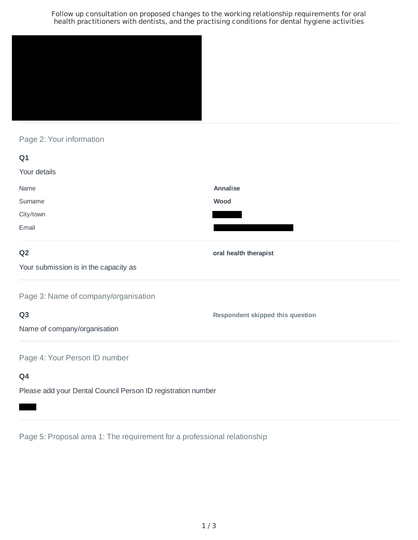Follow up consultation on proposed changes to the working relationship requirements for oral health practitioners with dentists, and the practising conditions for dental hygiene activities



Page 2: Your information

| Q1                                    |                                         |
|---------------------------------------|-----------------------------------------|
| Your details                          |                                         |
| Name                                  | Annalise                                |
| Surname                               | Wood                                    |
| City/town                             |                                         |
| Email                                 |                                         |
| Q <sub>2</sub>                        | oral health therapist                   |
| Your submission is in the capacity as |                                         |
| Page 3: Name of company/organisation  |                                         |
| Q <sub>3</sub>                        | <b>Respondent skipped this question</b> |
| Name of company/organisation          |                                         |
| Page 4: Your Person ID number         |                                         |
| Q4                                    |                                         |

Please add your Dental Council Person ID registration number

Page 5: Proposal area 1: The requirement for a professional relationship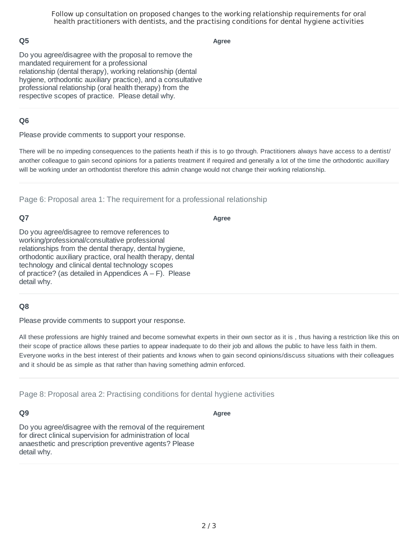Follow up consultation on proposed changes to the working relationship requirements for oral health practitioners with dentists, and the practising conditions for dental hygiene activities

### **Q5**

**Agree**

Do you agree/disagree with the proposal to remove the mandated requirement for a professional relationship (dental therapy), working relationship (dental hygiene, orthodontic auxiliary practice), and a consultative professional relationship (oral health therapy) from the respective scopes of practice. Please detail why.

### **Q6**

Please provide comments to support your response.

There will be no impeding consequences to the patients heath if this is to go through. Practitioners always have access to a dentist/ another colleague to gain second opinions for a patients treatment if required and generally a lot of the time the orthodontic auxillary will be working under an orthodontist therefore this admin change would not change their working relationship.

Page 6: Proposal area 1: The requirement for a professional relationship

### **Q7**

**Agree**

Do you agree/disagree to remove references to working/professional/consultative professional relationships from the dental therapy, dental hygiene, orthodontic auxiliary practice, oral health therapy, dental technology and clinical dental technology scopes of practice? (as detailed in Appendices  $A - F$ ). Please detail why.

#### **Q8**

Please provide comments to support your response.

All these professions are highly trained and become somewhat experts in their own sector as it is , thus having a restriction like this on their scope of practice allows these parties to appear inadequate to do their job and allows the public to have less faith in them. Everyone works in the best interest of their patients and knows when to gain second opinions/discuss situations with their colleagues and it should be as simple as that rather than having something admin enforced.

Page 8: Proposal area 2: Practising conditions for dental hygiene activities

#### **Q9**

**Agree**

Do you agree/disagree with the removal of the requirement for direct clinical supervision for administration of local anaesthetic and prescription preventive agents? Please detail why.